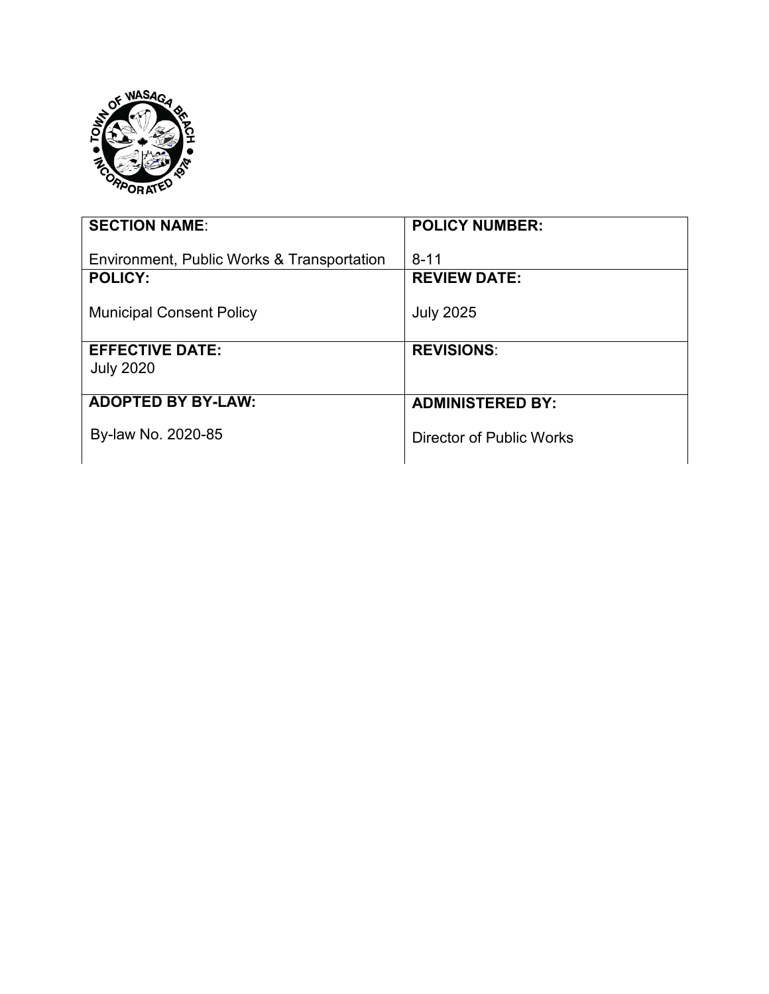

| <b>SECTION NAME:</b>                                         | <b>POLICY NUMBER:</b>           |
|--------------------------------------------------------------|---------------------------------|
| Environment, Public Works & Transportation<br><b>POLICY:</b> | $8 - 11$<br><b>REVIEW DATE:</b> |
| <b>Municipal Consent Policy</b>                              | <b>July 2025</b>                |
| <b>EFFECTIVE DATE:</b><br><b>July 2020</b>                   | <b>REVISIONS:</b>               |
| <b>ADOPTED BY BY-LAW:</b>                                    | <b>ADMINISTERED BY:</b>         |
| By-law No. 2020-85                                           | Director of Public Works        |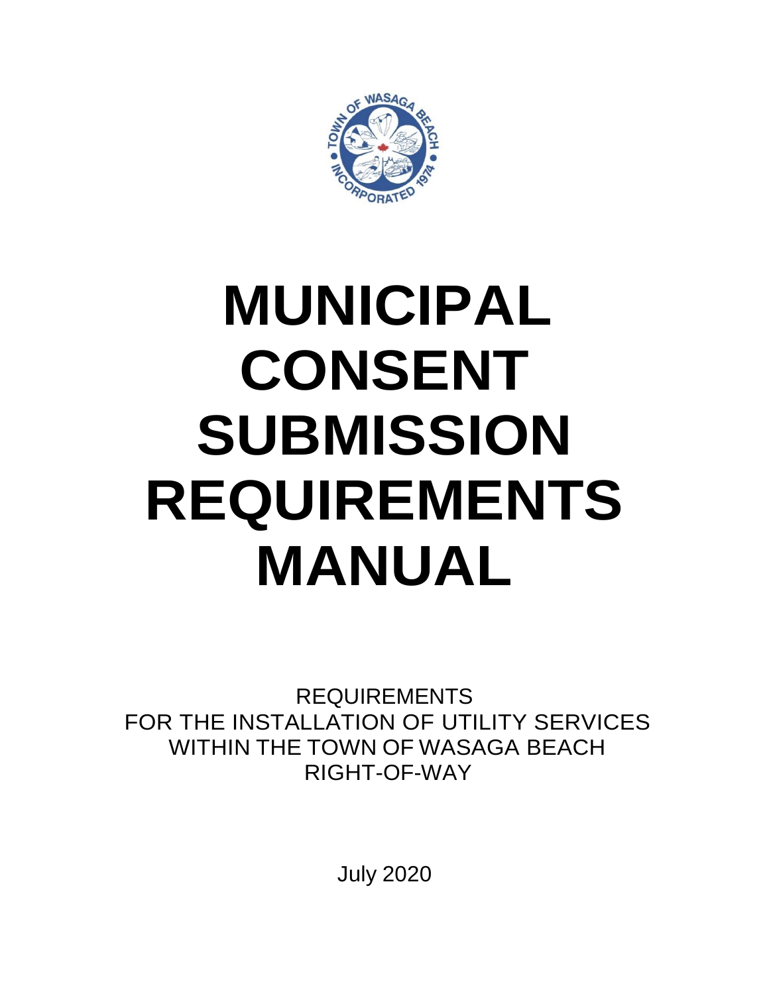

# **MUNICIPAL CONSENT SUBMISSION REQUIREMENTS MANUAL**

REQUIREMENTS FOR THE INSTALLATION OF UTILITY SERVICES WITHIN THE TOWN OF WASAGA BEACH RIGHT-OF-WAY

July 2020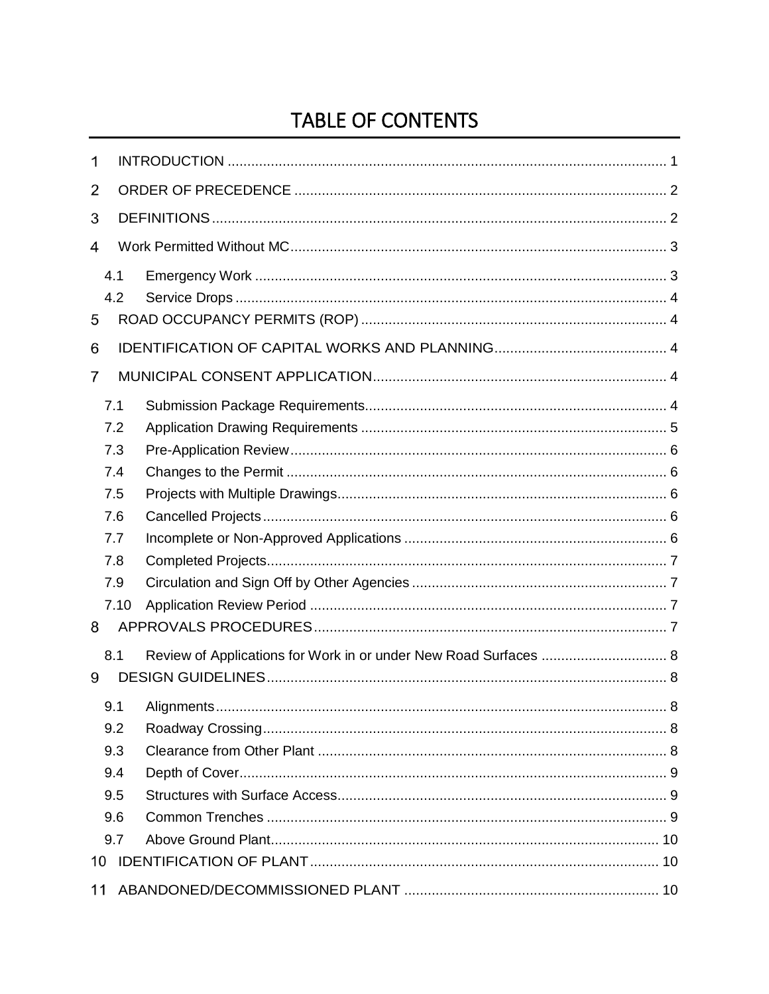# TABLE OF CONTENTS

| 1  |      |                                                                  |  |
|----|------|------------------------------------------------------------------|--|
| 2  |      |                                                                  |  |
| 3  |      |                                                                  |  |
| 4  |      |                                                                  |  |
|    | 4.1  |                                                                  |  |
|    | 4.2  |                                                                  |  |
| 5  |      |                                                                  |  |
| 6  |      |                                                                  |  |
| 7  |      |                                                                  |  |
|    | 7.1  |                                                                  |  |
|    | 7.2  |                                                                  |  |
|    | 7.3  |                                                                  |  |
|    | 7.4  |                                                                  |  |
|    | 7.5  |                                                                  |  |
|    | 7.6  |                                                                  |  |
|    | 7.7  |                                                                  |  |
|    | 7.8  |                                                                  |  |
|    | 7.9  |                                                                  |  |
|    | 7.10 |                                                                  |  |
| 8  |      |                                                                  |  |
|    | 8.1  | Review of Applications for Work in or under New Road Surfaces  8 |  |
| 9  |      |                                                                  |  |
|    | 9.1  |                                                                  |  |
|    | 9.2  |                                                                  |  |
|    | 9.3  |                                                                  |  |
|    | 9.4  |                                                                  |  |
|    | 9.5  |                                                                  |  |
|    | 9.6  |                                                                  |  |
|    | 9.7  |                                                                  |  |
| 10 |      |                                                                  |  |
| 11 |      |                                                                  |  |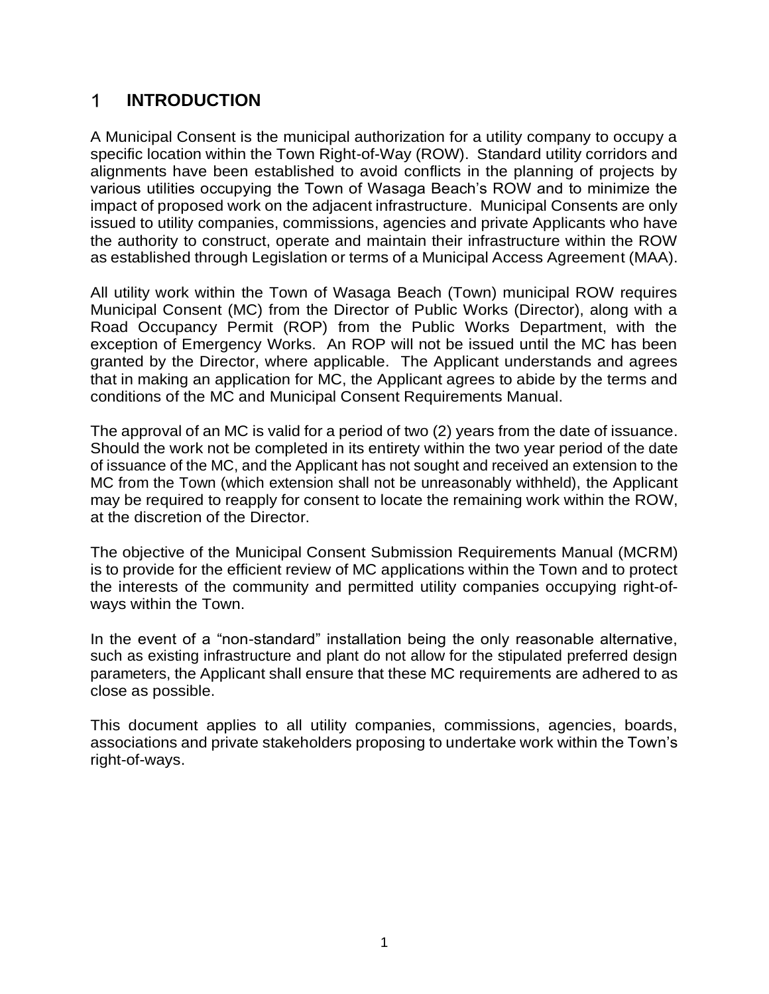#### <span id="page-4-0"></span> $\mathbf 1$ **INTRODUCTION**

A Municipal Consent is the municipal authorization for a utility company to occupy a specific location within the Town Right-of-Way (ROW). Standard utility corridors and alignments have been established to avoid conflicts in the planning of projects by various utilities occupying the Town of Wasaga Beach's ROW and to minimize the impact of proposed work on the adjacent infrastructure. Municipal Consents are only issued to utility companies, commissions, agencies and private Applicants who have the authority to construct, operate and maintain their infrastructure within the ROW as established through Legislation or terms of a Municipal Access Agreement (MAA).

All utility work within the Town of Wasaga Beach (Town) municipal ROW requires Municipal Consent (MC) from the Director of Public Works (Director), along with a Road Occupancy Permit (ROP) from the Public Works Department, with the exception of Emergency Works. An ROP will not be issued until the MC has been granted by the Director, where applicable. The Applicant understands and agrees that in making an application for MC, the Applicant agrees to abide by the terms and conditions of the MC and Municipal Consent Requirements Manual.

The approval of an MC is valid for a period of two (2) years from the date of issuance. Should the work not be completed in its entirety within the two year period of the date of issuance of the MC, and the Applicant has not sought and received an extension to the MC from the Town (which extension shall not be unreasonably withheld), the Applicant may be required to reapply for consent to locate the remaining work within the ROW, at the discretion of the Director.

The objective of the Municipal Consent Submission Requirements Manual (MCRM) is to provide for the efficient review of MC applications within the Town and to protect the interests of the community and permitted utility companies occupying right-ofways within the Town.

In the event of a "non-standard" installation being the only reasonable alternative, such as existing infrastructure and plant do not allow for the stipulated preferred design parameters, the Applicant shall ensure that these MC requirements are adhered to as close as possible.

This document applies to all utility companies, commissions, agencies, boards, associations and private stakeholders proposing to undertake work within the Town's right-of-ways.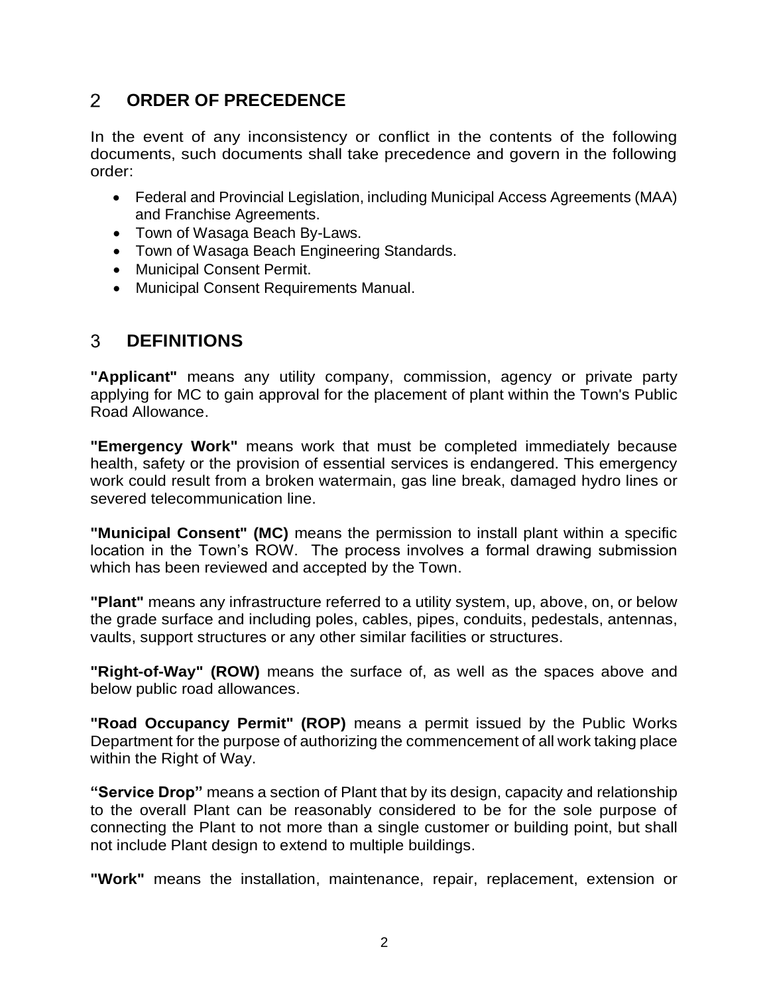#### <span id="page-5-0"></span> $\overline{2}$ **ORDER OF PRECEDENCE**

In the event of any inconsistency or conflict in the contents of the following documents, such documents shall take precedence and govern in the following order:

- Federal and Provincial Legislation, including Municipal Access Agreements (MAA) and Franchise Agreements.
- Town of Wasaga Beach By-Laws.
- Town of Wasaga Beach Engineering Standards.
- Municipal Consent Permit.
- Municipal Consent Requirements Manual.

#### <span id="page-5-1"></span> $\mathcal{S}$ **DEFINITIONS**

**"Applicant"** means any utility company, commission, agency or private party applying for MC to gain approval for the placement of plant within the Town's Public Road Allowance.

**"Emergency Work"** means work that must be completed immediately because health, safety or the provision of essential services is endangered. This emergency work could result from a broken watermain, gas line break, damaged hydro lines or severed telecommunication line.

**"Municipal Consent" (MC)** means the permission to install plant within a specific location in the Town's ROW. The process involves a formal drawing submission which has been reviewed and accepted by the Town.

**"Plant"** means any infrastructure referred to a utility system, up, above, on, or below the grade surface and including poles, cables, pipes, conduits, pedestals, antennas, vaults, support structures or any other similar facilities or structures.

**"Right-of-Way" (ROW)** means the surface of, as well as the spaces above and below public road allowances.

**"Road Occupancy Permit" (ROP)** means a permit issued by the Public Works Department for the purpose of authorizing the commencement of all work taking place within the Right of Way.

**"Service Drop"** means a section of Plant that by its design, capacity and relationship to the overall Plant can be reasonably considered to be for the sole purpose of connecting the Plant to not more than a single customer or building point, but shall not include Plant design to extend to multiple buildings.

**"Work"** means the installation, maintenance, repair, replacement, extension or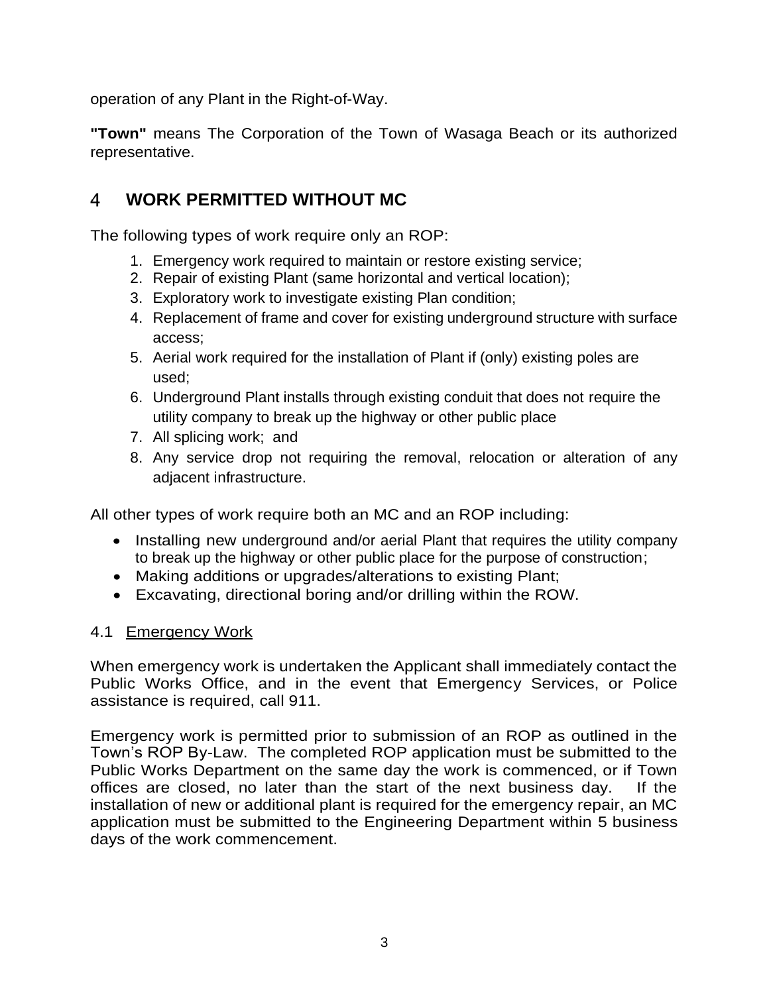operation of any Plant in the Right-of-Way.

**"Town"** means The Corporation of the Town of Wasaga Beach or its authorized representative.

#### <span id="page-6-0"></span>4 **WORK PERMITTED WITHOUT MC**

The following types of work require only an ROP:

- 1. Emergency work required to maintain or restore existing service;
- 2. Repair of existing Plant (same horizontal and vertical location);
- 3. Exploratory work to investigate existing Plan condition;
- 4. Replacement of frame and cover for existing underground structure with surface access;
- 5. Aerial work required for the installation of Plant if (only) existing poles are used;
- 6. Underground Plant installs through existing conduit that does not require the utility company to break up the highway or other public place
- 7. All splicing work; and
- 8. Any service drop not requiring the removal, relocation or alteration of any adjacent infrastructure.

All other types of work require both an MC and an ROP including:

- Installing new underground and/or aerial Plant that requires the utility company to break up the highway or other public place for the purpose of construction;
- Making additions or upgrades/alterations to existing Plant;
- Excavating, directional boring and/or drilling within the ROW.

#### <span id="page-6-1"></span>4.1 Emergency Work

When emergency work is undertaken the Applicant shall immediately contact the Public Works Office, and in the event that Emergency Services, or Police assistance is required, call 911.

Emergency work is permitted prior to submission of an ROP as outlined in the Town's ROP By-Law. The completed ROP application must be submitted to the Public Works Department on the same day the work is commenced, or if Town offices are closed, no later than the start of the next business day. If the installation of new or additional plant is required for the emergency repair, an MC application must be submitted to the Engineering Department within 5 business days of the work commencement.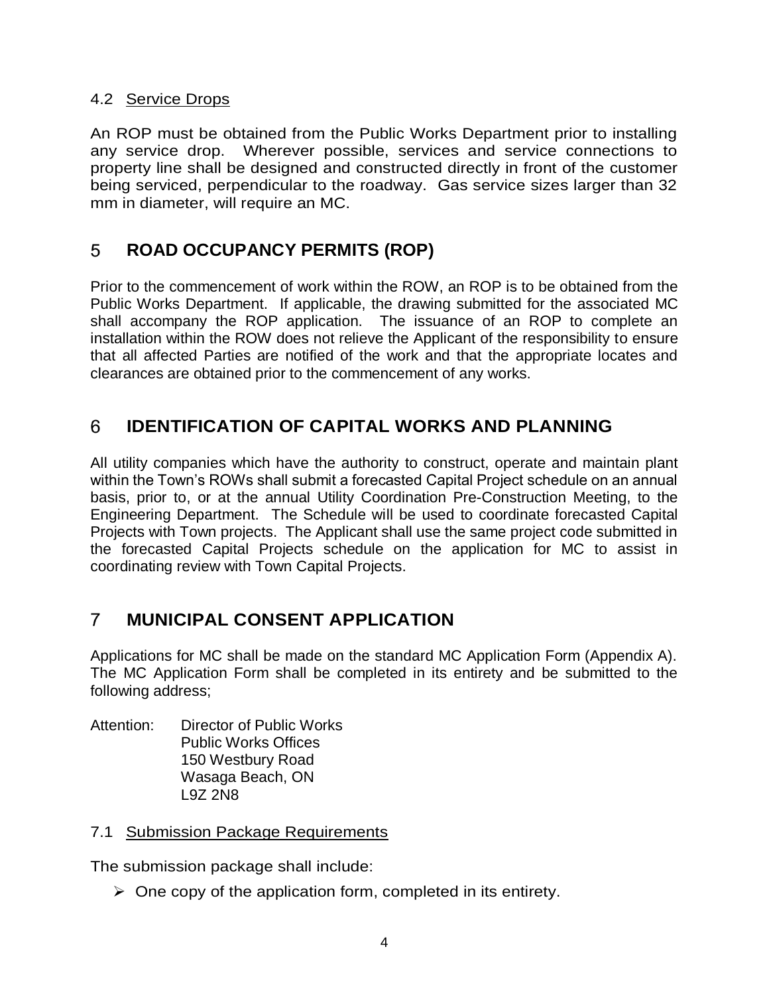#### <span id="page-7-0"></span>4.2 Service Drops

An ROP must be obtained from the Public Works Department prior to installing any service drop. Wherever possible, services and service connections to property line shall be designed and constructed directly in front of the customer being serviced, perpendicular to the roadway. Gas service sizes larger than 32 mm in diameter, will require an MC.

#### <span id="page-7-1"></span>5 **ROAD OCCUPANCY PERMITS (ROP)**

Prior to the commencement of work within the ROW, an ROP is to be obtained from the Public Works Department. If applicable, the drawing submitted for the associated MC shall accompany the ROP application. The issuance of an ROP to complete an installation within the ROW does not relieve the Applicant of the responsibility to ensure that all affected Parties are notified of the work and that the appropriate locates and clearances are obtained prior to the commencement of any works.

#### <span id="page-7-2"></span>6 **IDENTIFICATION OF CAPITAL WORKS AND PLANNING**

All utility companies which have the authority to construct, operate and maintain plant within the Town's ROWs shall submit a forecasted Capital Project schedule on an annual basis, prior to, or at the annual Utility Coordination Pre-Construction Meeting, to the Engineering Department. The Schedule will be used to coordinate forecasted Capital Projects with Town projects. The Applicant shall use the same project code submitted in the forecasted Capital Projects schedule on the application for MC to assist in coordinating review with Town Capital Projects.

#### <span id="page-7-3"></span> $\overline{7}$ **MUNICIPAL CONSENT APPLICATION**

Applications for MC shall be made on the standard MC Application Form (Appendix A). The MC Application Form shall be completed in its entirety and be submitted to the following address;

Attention: Director of Public Works Public Works Offices 150 Westbury Road Wasaga Beach, ON L9Z 2N8

#### <span id="page-7-4"></span>7.1 Submission Package Requirements

The submission package shall include:

 $\triangleright$  One copy of the application form, completed in its entirety.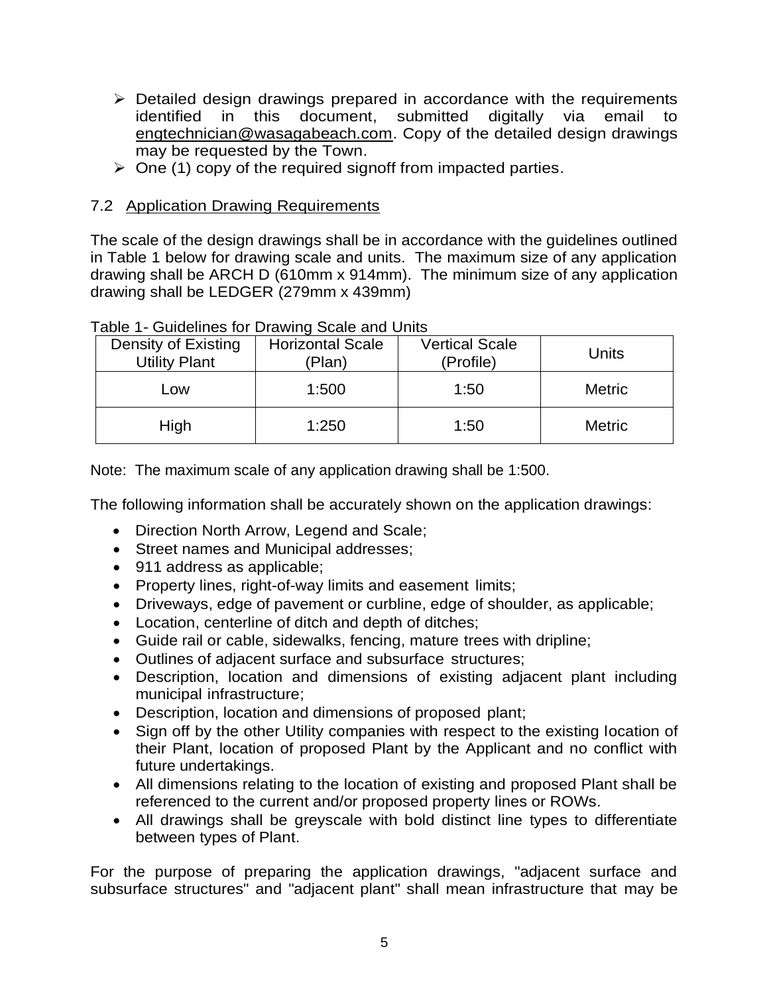- $\triangleright$  Detailed design drawings prepared in accordance with the requirements identified in this document, submitted digitally via email to engtechnician@wasagabeach.com. Copy of the detailed design drawings may be requested by the Town.
- $\geq$  One (1) copy of the required signoff from impacted parties.

#### <span id="page-8-0"></span>7.2 Application Drawing Requirements

The scale of the design drawings shall be in accordance with the guidelines outlined in Table 1 below for drawing scale and units. The maximum size of any application drawing shall be ARCH D (610mm x 914mm). The minimum size of any application drawing shall be LEDGER (279mm x 439mm)

| Density of Existing<br><b>Utility Plant</b> | <b>Horizontal Scale</b><br>'Plan) | <b>Vertical Scale</b><br>(Profile) | Units         |
|---------------------------------------------|-----------------------------------|------------------------------------|---------------|
| Low                                         | 1:500                             | 1:50                               | <b>Metric</b> |
| High                                        | 1:250                             | 1:50                               | <b>Metric</b> |

Table 1- Guidelines for Drawing Scale and Units

Note: The maximum scale of any application drawing shall be 1:500.

The following information shall be accurately shown on the application drawings:

- Direction North Arrow, Legend and Scale;
- Street names and Municipal addresses;
- 911 address as applicable;
- Property lines, right-of-way limits and easement limits;
- Driveways, edge of pavement or curbline, edge of shoulder, as applicable;
- Location, centerline of ditch and depth of ditches;
- Guide rail or cable, sidewalks, fencing, mature trees with dripline;
- Outlines of adjacent surface and subsurface structures;
- Description, location and dimensions of existing adjacent plant including municipal infrastructure;
- Description, location and dimensions of proposed plant;
- Sign off by the other Utility companies with respect to the existing location of their Plant, location of proposed Plant by the Applicant and no conflict with future undertakings.
- All dimensions relating to the location of existing and proposed Plant shall be referenced to the current and/or proposed property lines or ROWs.
- All drawings shall be greyscale with bold distinct line types to differentiate between types of Plant.

For the purpose of preparing the application drawings, "adjacent surface and subsurface structures" and "adjacent plant" shall mean infrastructure that may be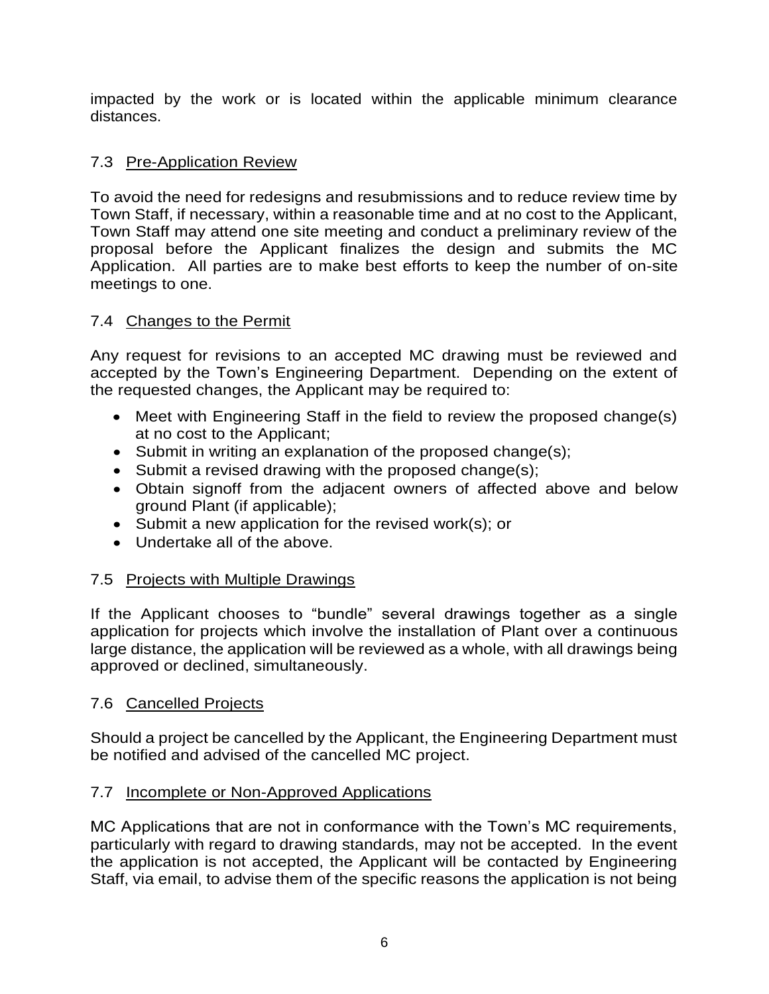impacted by the work or is located within the applicable minimum clearance distances.

#### <span id="page-9-0"></span>7.3 Pre-Application Review

To avoid the need for redesigns and resubmissions and to reduce review time by Town Staff, if necessary, within a reasonable time and at no cost to the Applicant, Town Staff may attend one site meeting and conduct a preliminary review of the proposal before the Applicant finalizes the design and submits the MC Application. All parties are to make best efforts to keep the number of on-site meetings to one.

## <span id="page-9-1"></span>7.4 Changes to the Permit

Any request for revisions to an accepted MC drawing must be reviewed and accepted by the Town's Engineering Department. Depending on the extent of the requested changes, the Applicant may be required to:

- Meet with Engineering Staff in the field to review the proposed change(s) at no cost to the Applicant;
- Submit in writing an explanation of the proposed change(s);
- Submit a revised drawing with the proposed change(s);
- Obtain signoff from the adjacent owners of affected above and below ground Plant (if applicable);
- Submit a new application for the revised work(s); or
- Undertake all of the above.

## <span id="page-9-2"></span>7.5 Projects with Multiple Drawings

If the Applicant chooses to "bundle" several drawings together as a single application for projects which involve the installation of Plant over a continuous large distance, the application will be reviewed as a whole, with all drawings being approved or declined, simultaneously.

## <span id="page-9-3"></span>7.6 Cancelled Projects

Should a project be cancelled by the Applicant, the Engineering Department must be notified and advised of the cancelled MC project.

## <span id="page-9-4"></span>7.7 Incomplete or Non-Approved Applications

MC Applications that are not in conformance with the Town's MC requirements, particularly with regard to drawing standards, may not be accepted. In the event the application is not accepted, the Applicant will be contacted by Engineering Staff, via email, to advise them of the specific reasons the application is not being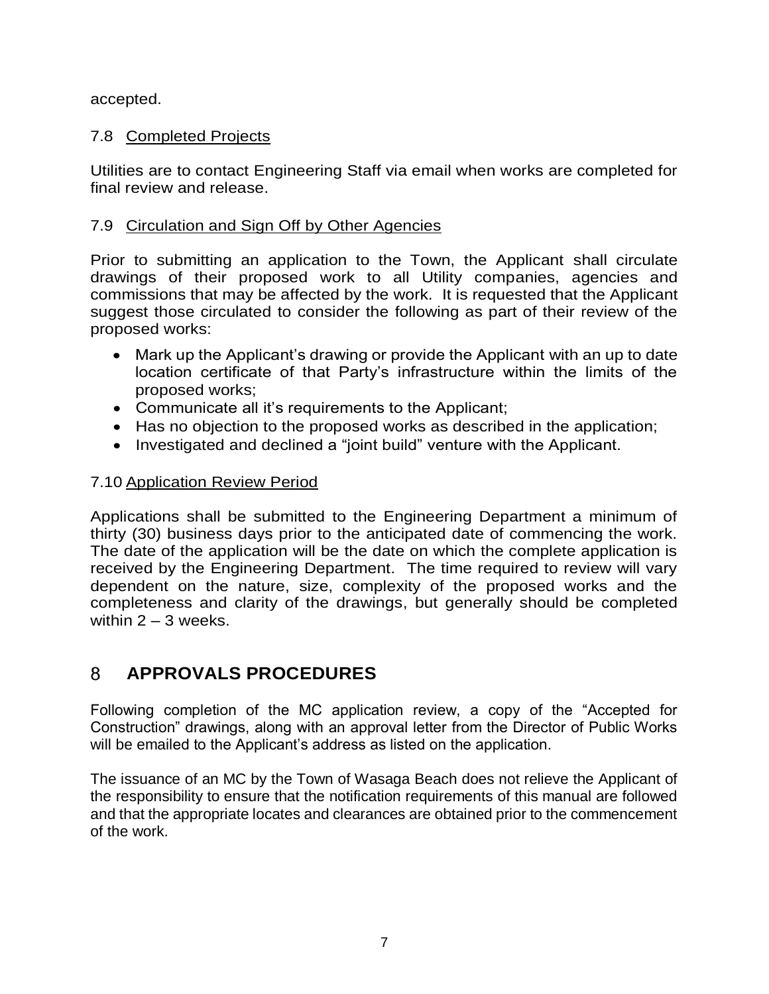accepted.

## <span id="page-10-0"></span>7.8 Completed Projects

Utilities are to contact Engineering Staff via email when works are completed for final review and release.

## <span id="page-10-1"></span>7.9 Circulation and Sign Off by Other Agencies

Prior to submitting an application to the Town, the Applicant shall circulate drawings of their proposed work to all Utility companies, agencies and commissions that may be affected by the work. It is requested that the Applicant suggest those circulated to consider the following as part of their review of the proposed works:

- Mark up the Applicant's drawing or provide the Applicant with an up to date location certificate of that Party's infrastructure within the limits of the proposed works;
- Communicate all it's requirements to the Applicant;
- Has no objection to the proposed works as described in the application;
- Investigated and declined a "joint build" venture with the Applicant.

## <span id="page-10-2"></span>7.10 Application Review Period

Applications shall be submitted to the Engineering Department a minimum of thirty (30) business days prior to the anticipated date of commencing the work. The date of the application will be the date on which the complete application is received by the Engineering Department. The time required to review will vary dependent on the nature, size, complexity of the proposed works and the completeness and clarity of the drawings, but generally should be completed within  $2 - 3$  weeks.

#### <span id="page-10-3"></span>8 **APPROVALS PROCEDURES**

Following completion of the MC application review, a copy of the "Accepted for Construction" drawings, along with an approval letter from the Director of Public Works will be emailed to the Applicant's address as listed on the application.

The issuance of an MC by the Town of Wasaga Beach does not relieve the Applicant of the responsibility to ensure that the notification requirements of this manual are followed and that the appropriate locates and clearances are obtained prior to the commencement of the work.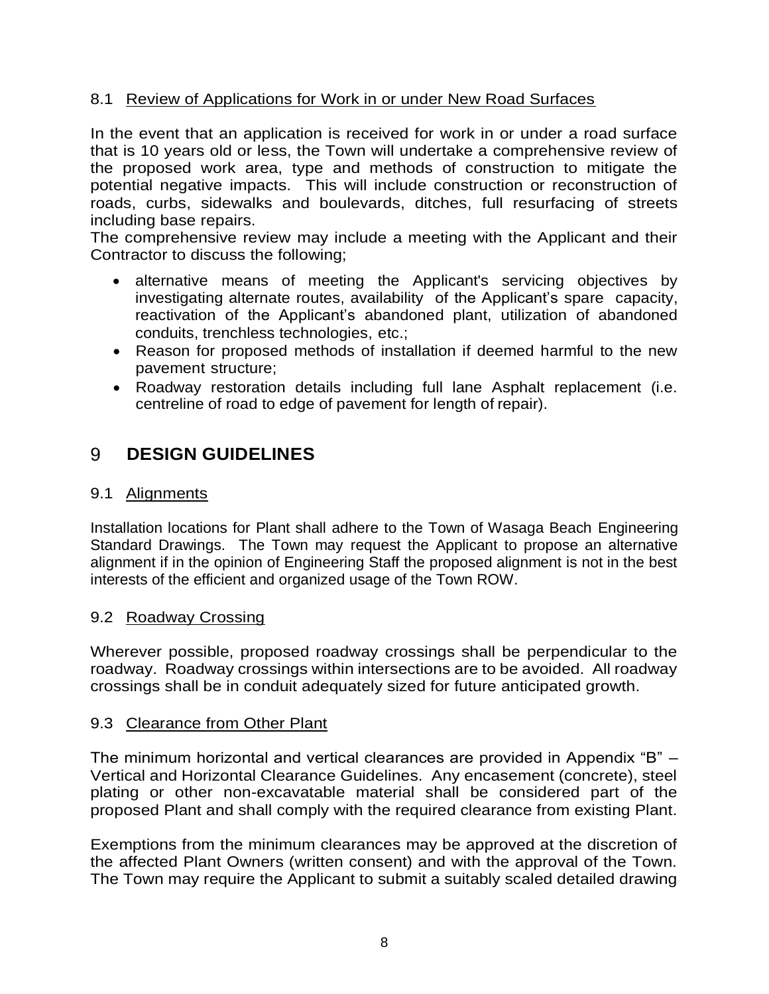#### <span id="page-11-0"></span>8.1 Review of Applications for Work in or under New Road Surfaces

In the event that an application is received for work in or under a road surface that is 10 years old or less, the Town will undertake a comprehensive review of the proposed work area, type and methods of construction to mitigate the potential negative impacts. This will include construction or reconstruction of roads, curbs, sidewalks and boulevards, ditches, full resurfacing of streets including base repairs.

The comprehensive review may include a meeting with the Applicant and their Contractor to discuss the following;

- alternative means of meeting the Applicant's servicing objectives by investigating alternate routes, availability of the Applicant's spare capacity, reactivation of the Applicant's abandoned plant, utilization of abandoned conduits, trenchless technologies, etc.;
- Reason for proposed methods of installation if deemed harmful to the new pavement structure;
- Roadway restoration details including full lane Asphalt replacement (i.e. centreline of road to edge of pavement for length of repair).

#### <span id="page-11-1"></span>9 **DESIGN GUIDELINES**

#### <span id="page-11-2"></span>9.1 Alignments

Installation locations for Plant shall adhere to the Town of Wasaga Beach Engineering Standard Drawings. The Town may request the Applicant to propose an alternative alignment if in the opinion of Engineering Staff the proposed alignment is not in the best interests of the efficient and organized usage of the Town ROW.

#### <span id="page-11-3"></span>9.2 Roadway Crossing

Wherever possible, proposed roadway crossings shall be perpendicular to the roadway. Roadway crossings within intersections are to be avoided. All roadway crossings shall be in conduit adequately sized for future anticipated growth.

#### <span id="page-11-4"></span>9.3 Clearance from Other Plant

The minimum horizontal and vertical clearances are provided in Appendix "B" – Vertical and Horizontal Clearance Guidelines. Any encasement (concrete), steel plating or other non-excavatable material shall be considered part of the proposed Plant and shall comply with the required clearance from existing Plant.

Exemptions from the minimum clearances may be approved at the discretion of the affected Plant Owners (written consent) and with the approval of the Town. The Town may require the Applicant to submit a suitably scaled detailed drawing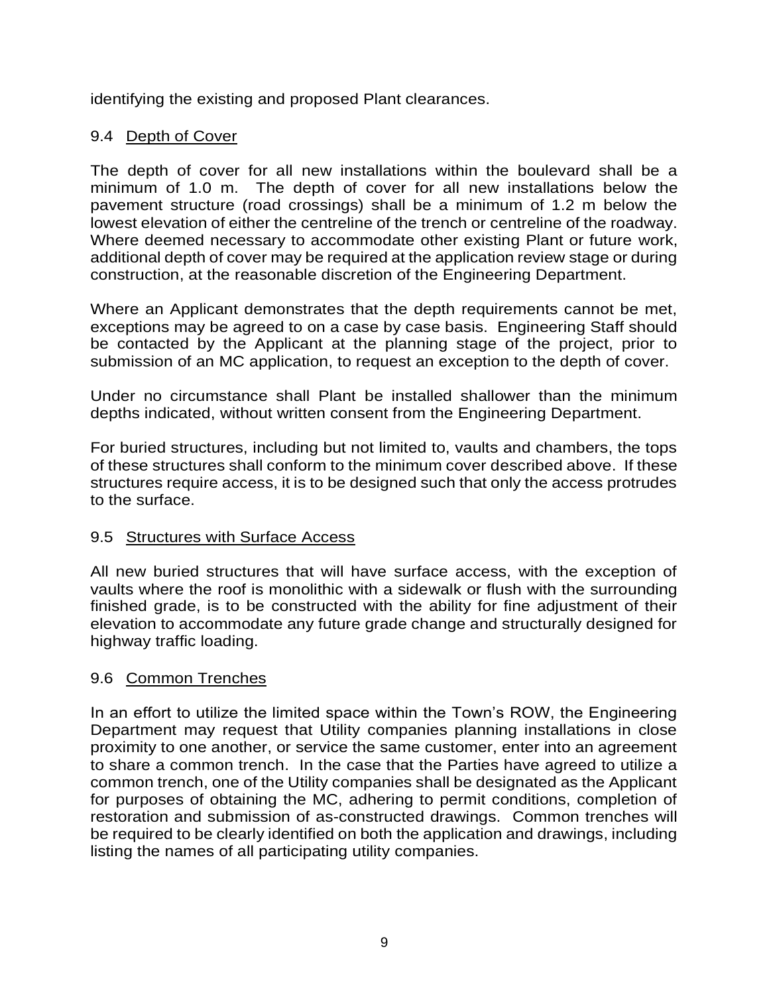identifying the existing and proposed Plant clearances.

## <span id="page-12-0"></span>9.4 Depth of Cover

The depth of cover for all new installations within the boulevard shall be a minimum of 1.0 m. The depth of cover for all new installations below the pavement structure (road crossings) shall be a minimum of 1.2 m below the lowest elevation of either the centreline of the trench or centreline of the roadway. Where deemed necessary to accommodate other existing Plant or future work, additional depth of cover may be required at the application review stage or during construction, at the reasonable discretion of the Engineering Department.

Where an Applicant demonstrates that the depth requirements cannot be met, exceptions may be agreed to on a case by case basis. Engineering Staff should be contacted by the Applicant at the planning stage of the project, prior to submission of an MC application, to request an exception to the depth of cover.

Under no circumstance shall Plant be installed shallower than the minimum depths indicated, without written consent from the Engineering Department.

For buried structures, including but not limited to, vaults and chambers, the tops of these structures shall conform to the minimum cover described above. If these structures require access, it is to be designed such that only the access protrudes to the surface.

#### <span id="page-12-1"></span>9.5 Structures with Surface Access

All new buried structures that will have surface access, with the exception of vaults where the roof is monolithic with a sidewalk or flush with the surrounding finished grade, is to be constructed with the ability for fine adjustment of their elevation to accommodate any future grade change and structurally designed for highway traffic loading.

## <span id="page-12-2"></span>9.6 Common Trenches

In an effort to utilize the limited space within the Town's ROW, the Engineering Department may request that Utility companies planning installations in close proximity to one another, or service the same customer, enter into an agreement to share a common trench. In the case that the Parties have agreed to utilize a common trench, one of the Utility companies shall be designated as the Applicant for purposes of obtaining the MC, adhering to permit conditions, completion of restoration and submission of as-constructed drawings. Common trenches will be required to be clearly identified on both the application and drawings, including listing the names of all participating utility companies.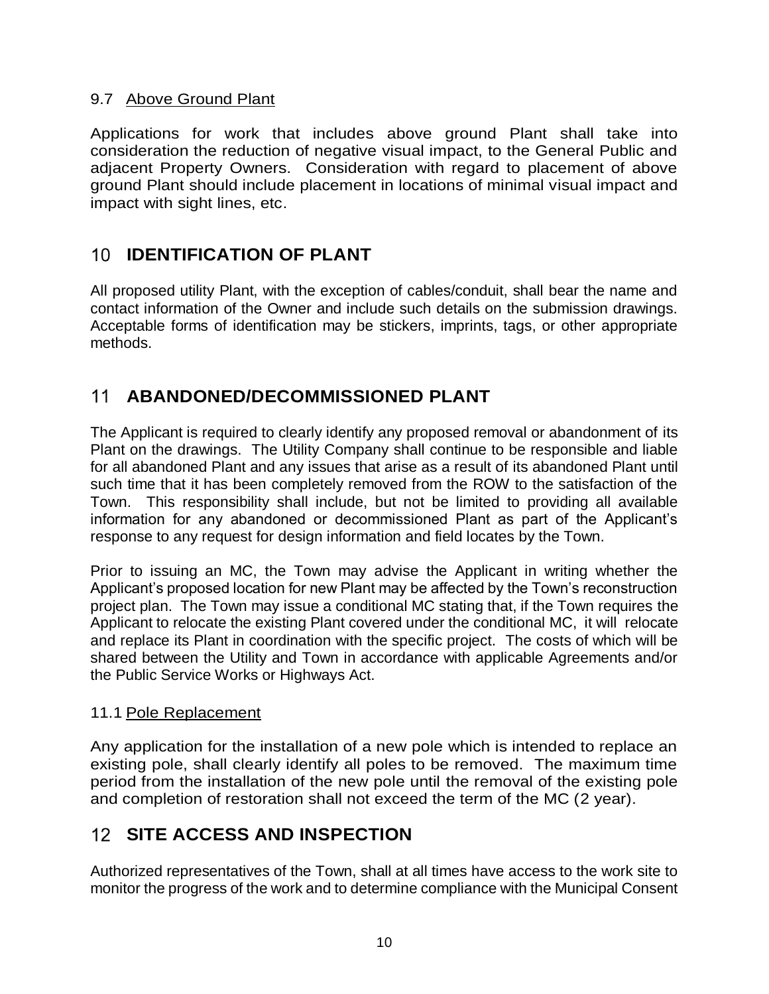#### <span id="page-13-0"></span>9.7 Above Ground Plant

Applications for work that includes above ground Plant shall take into consideration the reduction of negative visual impact, to the General Public and adjacent Property Owners. Consideration with regard to placement of above ground Plant should include placement in locations of minimal visual impact and impact with sight lines, etc.

# <span id="page-13-1"></span>**IDENTIFICATION OF PLANT**

All proposed utility Plant, with the exception of cables/conduit, shall bear the name and contact information of the Owner and include such details on the submission drawings. Acceptable forms of identification may be stickers, imprints, tags, or other appropriate methods.

# <span id="page-13-2"></span>**ABANDONED/DECOMMISSIONED PLANT**

The Applicant is required to clearly identify any proposed removal or abandonment of its Plant on the drawings. The Utility Company shall continue to be responsible and liable for all abandoned Plant and any issues that arise as a result of its abandoned Plant until such time that it has been completely removed from the ROW to the satisfaction of the Town. This responsibility shall include, but not be limited to providing all available information for any abandoned or decommissioned Plant as part of the Applicant's response to any request for design information and field locates by the Town.

Prior to issuing an MC, the Town may advise the Applicant in writing whether the Applicant's proposed location for new Plant may be affected by the Town's reconstruction project plan. The Town may issue a conditional MC stating that, if the Town requires the Applicant to relocate the existing Plant covered under the conditional MC, it will relocate and replace its Plant in coordination with the specific project. The costs of which will be shared between the Utility and Town in accordance with applicable Agreements and/or the Public Service Works or Highways Act.

#### <span id="page-13-3"></span>11.1 Pole Replacement

Any application for the installation of a new pole which is intended to replace an existing pole, shall clearly identify all poles to be removed. The maximum time period from the installation of the new pole until the removal of the existing pole and completion of restoration shall not exceed the term of the MC (2 year).

# <span id="page-13-4"></span>**SITE ACCESS AND INSPECTION**

Authorized representatives of the Town, shall at all times have access to the work site to monitor the progress of the work and to determine compliance with the Municipal Consent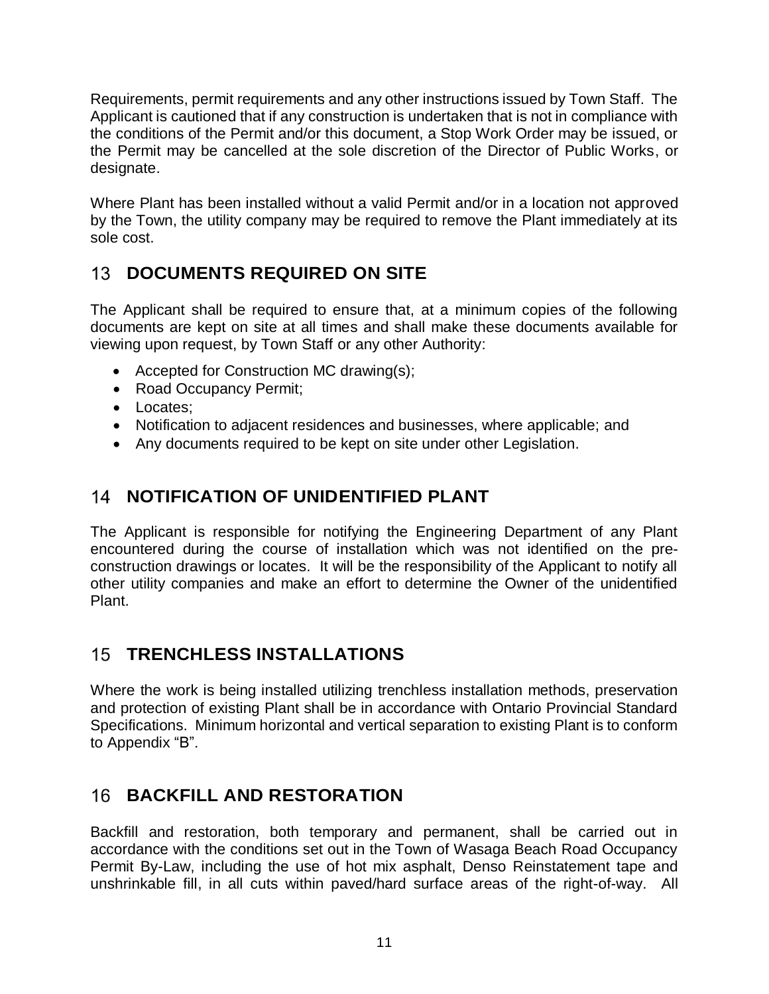Requirements, permit requirements and any other instructions issued by Town Staff. The Applicant is cautioned that if any construction is undertaken that is not in compliance with the conditions of the Permit and/or this document, a Stop Work Order may be issued, or the Permit may be cancelled at the sole discretion of the Director of Public Works, or designate.

Where Plant has been installed without a valid Permit and/or in a location not approved by the Town, the utility company may be required to remove the Plant immediately at its sole cost.

# <span id="page-14-0"></span>**13 DOCUMENTS REQUIRED ON SITE**

The Applicant shall be required to ensure that, at a minimum copies of the following documents are kept on site at all times and shall make these documents available for viewing upon request, by Town Staff or any other Authority:

- Accepted for Construction MC drawing(s);
- Road Occupancy Permit;
- Locates:
- Notification to adjacent residences and businesses, where applicable; and
- Any documents required to be kept on site under other Legislation.

# <span id="page-14-1"></span>14 **NOTIFICATION OF UNIDENTIFIED PLANT**

The Applicant is responsible for notifying the Engineering Department of any Plant encountered during the course of installation which was not identified on the preconstruction drawings or locates. It will be the responsibility of the Applicant to notify all other utility companies and make an effort to determine the Owner of the unidentified Plant.

# <span id="page-14-2"></span>**TRENCHLESS INSTALLATIONS**

Where the work is being installed utilizing trenchless installation methods, preservation and protection of existing Plant shall be in accordance with Ontario Provincial Standard Specifications. Minimum horizontal and vertical separation to existing Plant is to conform to Appendix "B".

# <span id="page-14-3"></span>**16 BACKFILL AND RESTORATION**

Backfill and restoration, both temporary and permanent, shall be carried out in accordance with the conditions set out in the Town of Wasaga Beach Road Occupancy Permit By-Law, including the use of hot mix asphalt, Denso Reinstatement tape and unshrinkable fill, in all cuts within paved/hard surface areas of the right-of-way. All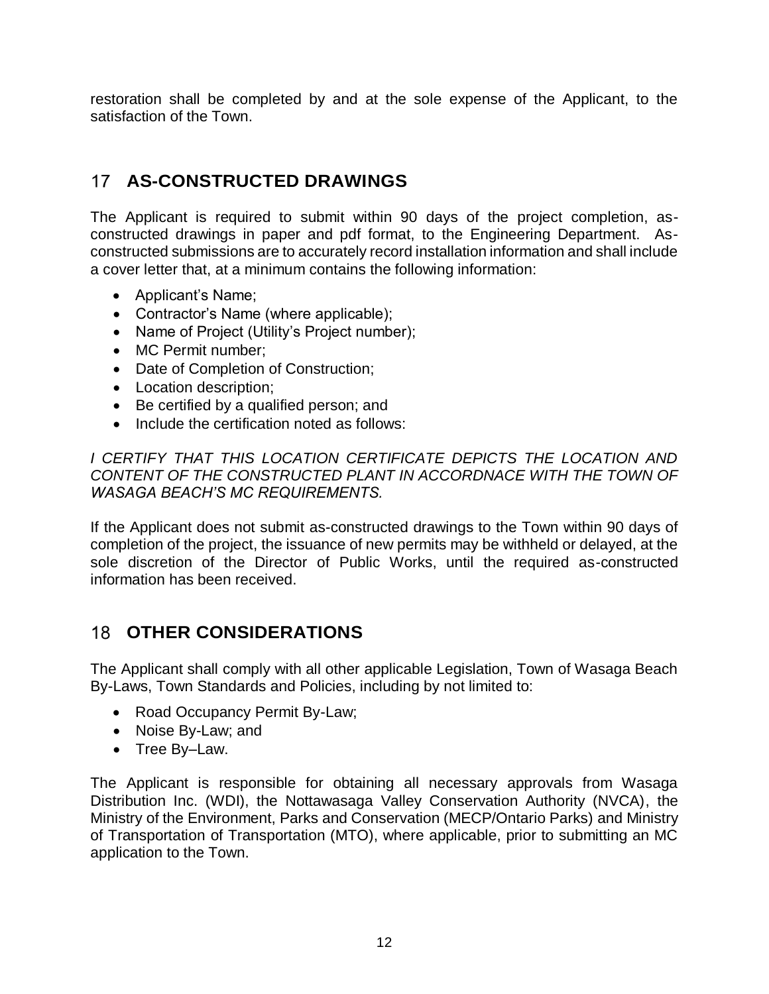restoration shall be completed by and at the sole expense of the Applicant, to the satisfaction of the Town.

# <span id="page-15-0"></span>**AS-CONSTRUCTED DRAWINGS**

The Applicant is required to submit within 90 days of the project completion, asconstructed drawings in paper and pdf format, to the Engineering Department. Asconstructed submissions are to accurately record installation information and shall include a cover letter that, at a minimum contains the following information:

- Applicant's Name;
- Contractor's Name (where applicable);
- Name of Project (Utility's Project number);
- MC Permit number;
- Date of Completion of Construction;
- Location description;
- Be certified by a qualified person; and
- Include the certification noted as follows:

**I CERTIFY THAT THIS LOCATION CERTIFICATE DEPICTS THE LOCATION AND** *CONTENT OF THE CONSTRUCTED PLANT IN ACCORDNACE WITH THE TOWN OF WASAGA BEACH'S MC REQUIREMENTS.*

If the Applicant does not submit as-constructed drawings to the Town within 90 days of completion of the project, the issuance of new permits may be withheld or delayed, at the sole discretion of the Director of Public Works, until the required as-constructed information has been received.

## <span id="page-15-1"></span>**OTHER CONSIDERATIONS**

The Applicant shall comply with all other applicable Legislation, Town of Wasaga Beach By-Laws, Town Standards and Policies, including by not limited to:

- Road Occupancy Permit By-Law;
- Noise By-Law; and
- Tree By-Law.

The Applicant is responsible for obtaining all necessary approvals from Wasaga Distribution Inc. (WDI), the Nottawasaga Valley Conservation Authority (NVCA), the Ministry of the Environment, Parks and Conservation (MECP/Ontario Parks) and Ministry of Transportation of Transportation (MTO), where applicable, prior to submitting an MC application to the Town.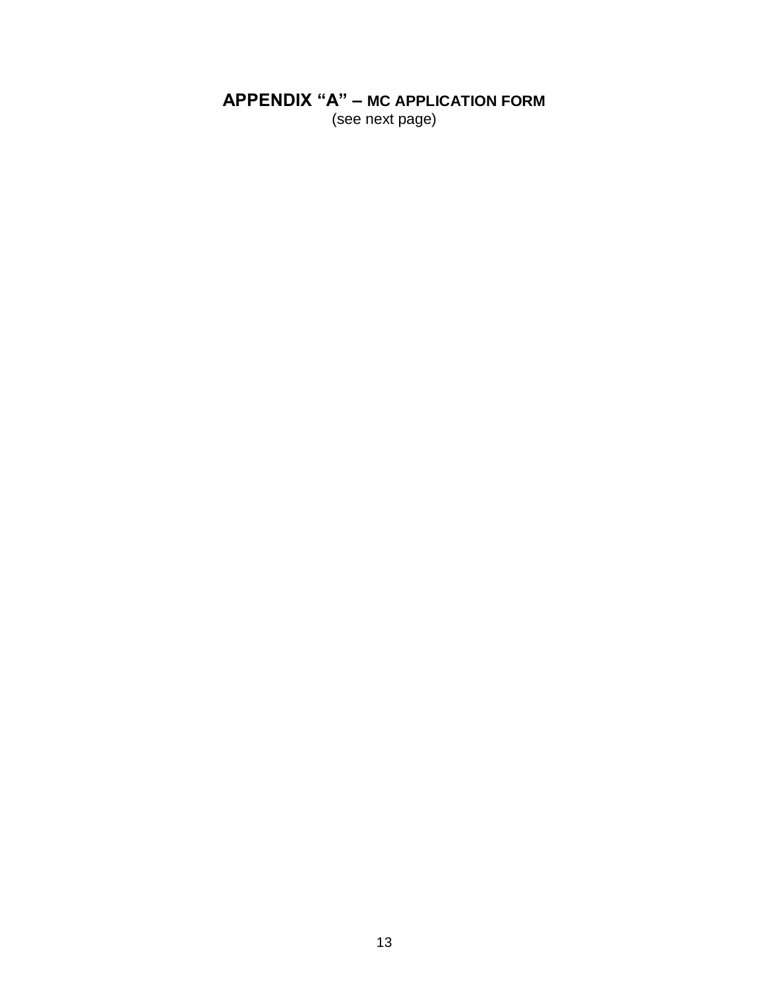# <span id="page-16-0"></span>**APPENDIX "A" - MC APPLICATION FORM**

(see next page)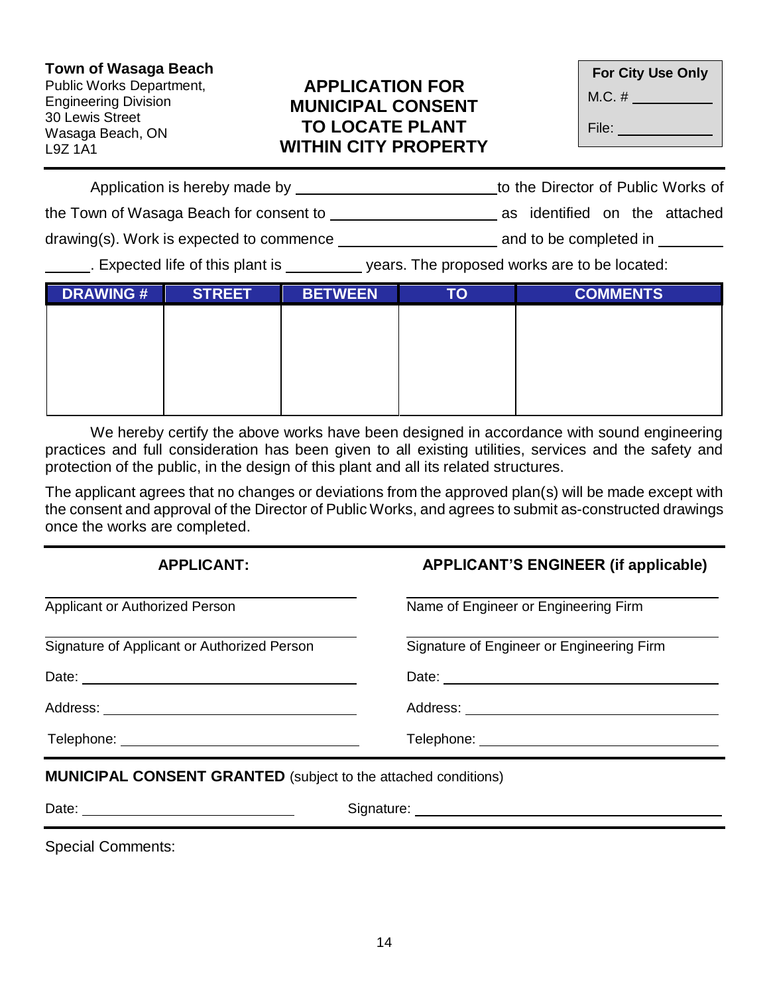#### **Town of Wasaga Beach**

Public Works Department, Engineering Division 30 Lewis Street Wasaga Beach, ON L9Z 1A1

## **APPLICATION FOR MUNICIPAL CONSENT TO LOCATE PLANT WITHIN CITY PROPERTY**

| <b>For City Use Only</b> |  |  |  |  |
|--------------------------|--|--|--|--|
| M.C. #                   |  |  |  |  |
| File:                    |  |  |  |  |

| Application is hereby made by            | to the Director of Public Works of |  |  |
|------------------------------------------|------------------------------------|--|--|
| the Town of Wasaga Beach for consent to  | as identified on the attached      |  |  |
| drawing(s). Work is expected to commence | and to be completed in             |  |  |

Expected life of this plant is \_\_\_\_\_\_\_\_\_ years. The proposed works are to be located:

| <b>DRAWING#</b> | <b>STREET</b> | <b>BETWEEN</b> | TO | <b>COMMENTS</b> |
|-----------------|---------------|----------------|----|-----------------|
|                 |               |                |    |                 |
|                 |               |                |    |                 |
|                 |               |                |    |                 |
|                 |               |                |    |                 |
|                 |               |                |    |                 |

We hereby certify the above works have been designed in accordance with sound engineering practices and full consideration has been given to all existing utilities, services and the safety and protection of the public, in the design of this plant and all its related structures.

The applicant agrees that no changes or deviations from the approved plan(s) will be made except with the consent and approval of the Director of Public Works, and agrees to submit as-constructed drawings once the works are completed.

| <b>APPLICANT:</b>                           | <b>APPLICANT'S ENGINEER (if applicable)</b> |  |  |
|---------------------------------------------|---------------------------------------------|--|--|
| <b>Applicant or Authorized Person</b>       | Name of Engineer or Engineering Firm        |  |  |
| Signature of Applicant or Authorized Person | Signature of Engineer or Engineering Firm   |  |  |
|                                             |                                             |  |  |
|                                             |                                             |  |  |
|                                             |                                             |  |  |

**MUNICIPAL CONSENT GRANTED** (subject to the attached conditions)

| Date | ∍ınnar<br>.<br>. . |
|------|--------------------|
|      |                    |

Special Comments: